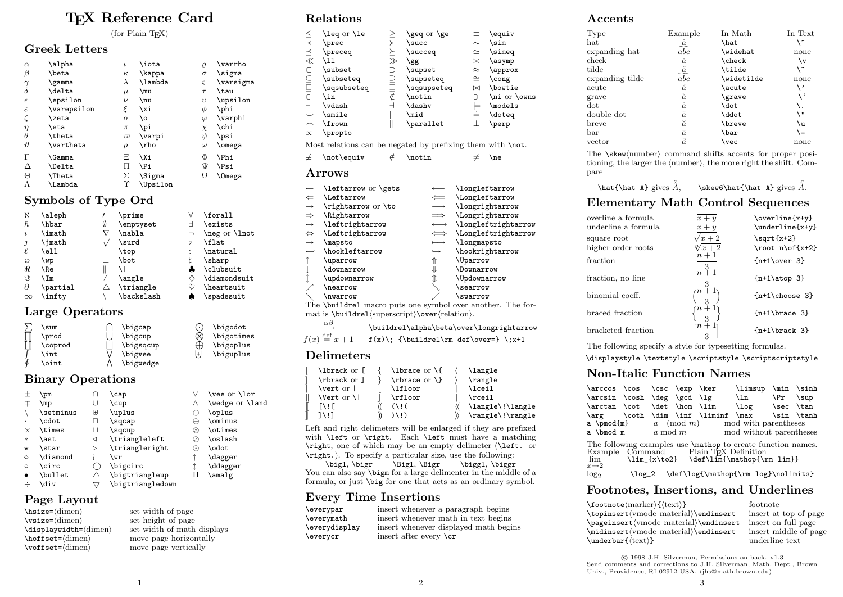# T<sub>E</sub>X Reference Card

 $(for$  Plain T<sub>F</sub>X)

#### Greek Letters

| $\alpha$      | \alpha        | $\iota$            | \iota    | $\varrho$  | \varrho       |
|---------------|---------------|--------------------|----------|------------|---------------|
| $\beta$       | \beta         | $\kappa$           | \kappa   | $\sigma$   | \sigma        |
| $\gamma$      | \gamma        | $\lambda$          | \lambda  | ς          | \varsigma     |
| $\delta$      | \delta        | $\mu$              | \mu      | $\tau$     | \tau          |
| $\epsilon$    | \epsilon      | $\boldsymbol{\nu}$ | \nu      | $\upsilon$ | \upsilon      |
| $\varepsilon$ | \varepsilon   | ξ                  | \xi      | φ          | \phi          |
| $\zeta$       | \zeta         | $\overline{O}$     | ۱o       | $\varphi$  | \varphi       |
| $\eta$        | \eta          | $\pi$              | \pi      | $\chi$     | \chi          |
| $\theta$      | \theta        | $\varpi$           | \varpi   | ψ          | \psi          |
| $\vartheta$   | \vartheta     | $\rho$             | \rho     | $\omega$   | \omega        |
| Г             | \Gamma        | Ξ                  | \Xi      | Φ          | <b>\Phi</b>   |
| Δ             | \Delta        | П                  | \Pi      | Ψ          | <b>\Psi</b>   |
| Θ             | <b>\Theta</b> | Σ                  | \Sigma   | Ω          | <b>\Omega</b> |
| Λ             | \Lambda       | Υ                  | \Upsilon |            |               |
|               |               |                    |          |            |               |

## Symbols of Type Ord

| К                   | \aleph   |   | \prime     | Α                        | \forall       |
|---------------------|----------|---|------------|--------------------------|---------------|
| ħ                   | \hbar    | Ø | \emptyset  | ⊣                        | \exists       |
| $\boldsymbol{\eta}$ | \imath   |   | \nabla     | $\overline{\phantom{0}}$ | \neg or \lnot |
|                     | \imath   |   | \surd      | b                        | \flat         |
|                     | \ell     |   | \top       | b                        | \natural      |
| 6                   | \wp      |   | \bot       |                          | \sharp        |
| R                   | \Re      |   |            |                          | \clubsuit     |
| S                   | ∖Im      |   | \angle     |                          | \diamondsuit  |
| $\partial$          | \partial |   | \triangle  |                          | \heartsuit    |
| $\infty$            | \infty   |   | \backslash |                          | \spadesuit    |
|                     |          |   |            |                          |               |

## Large Operators

|   | \sum         | \bigcap   |     | \bigodot   |
|---|--------------|-----------|-----|------------|
|   | \prod        | \bigcup   | Œ.  | \bigotimes |
|   | \coprod      | \bigsqcup |     | \bigoplus  |
|   | <b>\int</b>  | \bigvee   | l+l | \biguplus  |
| Φ | <b>\oint</b> | \bigwedge |     |            |

#### Binary Operations

|          | \pm             |              | \cap             |                          | \vee or \lor    |
|----------|-----------------|--------------|------------------|--------------------------|-----------------|
| 干        | \mp             | U            | \cup             | Λ                        | \wedge or \land |
|          | \setminus       | ₩            | \uplus           | ⊕                        | \oplus          |
|          | \cdot           | П            | \sqcap           |                          | \ominus         |
| ×        | \times          | $\mathbf{L}$ | \sqcup           | ⋈                        | \otimes         |
| $\ast$   | \ast            | ◁            | \triangleleft    |                          | \oslash         |
| $^\star$ | \star           | D            | \triangleright   | $\left( \bullet \right)$ | \odot           |
| ♦        | <b>\diamond</b> |              | \wr              |                          | \dagger         |
| $\circ$  | <b>\circ</b>    |              | \bigcirc         |                          | \ddagger        |
| ٠        | \bullet         |              | \bigtriangleup   |                          | \amalg          |
|          | <b>\div</b>     |              | \bigtriangledown |                          |                 |
|          |                 |              |                  |                          |                 |

#### Page Layout

\bisize=\dimen} set width of page<br>\vsize=\dimen} set height of page  $\forall$ set height of page<br>  $\displaystyle{\frac{\dim}{\dim}{\dim}}$  set width of math  $\hbar$ st= $\dim$  move page horizontally<br>voffset= $\dim$  move page vertically

 $\label{lem:optimal} $$\displaystyle\left=\dimen\} \quad \mbox{ each disjoint subgroups } \hbox{set=}\dimen \quad \mbox{ a specific boundary } \hbox{set=}\dimen \quad \mbox{ a specific boundary } \hbox{aligned } \quad \mbox{aligned}$ move page vertically

## Relations

| \leq or \le<br>\geq or \ge<br>\equiv<br>$\equiv$<br>メンメンションコーチ<br>$\sin$<br>\prec<br>\succ<br>$\sim$<br>\simeq<br>\preceq<br>\succeq<br>$\simeq$<br>$\asymp$<br>$\mathcal{L}$<br>\asymp<br>\gg<br>$\approx$<br>\subset<br>\approx<br>\supset<br>$\cong$<br>\subseteq<br>\supseteq<br>\cong<br>\sqsubseteq<br>\bowtie<br>\sqsupseteq<br>$\bowtie$<br>$\sin$<br>\notin<br>\ni or \owns<br>Э<br>$\frac{1}{2}$<br>\vdash<br>\models<br>\dashv<br>\smile<br>\mid<br>\doteq<br>Ï<br>$\bot$<br>\frown<br>\parallet<br>\perp<br>\propto<br>Most relations can be negated by prefixing them with \not.<br>∉<br>\notin<br>\not\equiv<br>$\neq$<br>$\neq$<br>$\operatorname{Arrows}$<br>leftarrow or \gets<br>\longleftarrow<br><i>Leftarrow</i><br>\Longleftarrow<br>$\Leftarrow$<br>\longrightarrow<br>\rightarrow or \to<br>\Rightarrow<br>\Longrightarrow<br>$\implies$<br>\leftrightarrow<br>\longleftrightarrow<br>$\longleftrightarrow$<br><i>Leftrightarrow</i><br>\Longleftrightarrow<br>$\iff$<br>$\longmapsto$<br>\mapsto<br>\longmapsto<br>$\hookrightarrow$<br>\hookleftarrow<br>\hookrightarrow<br>⇑<br>\Uparrow<br>\uparrow<br>⇓<br>\Downarrow<br>\downarrow<br>₹<br>\Updownarrow<br>\updownarrow<br>\searrow<br>\nearrow<br>\swarrow<br>\nwarrow<br>The \buildrel macro puts one symbol over another. The for- |                                                                                                                                                                        |  |  |  |
|---------------------------------------------------------------------------------------------------------------------------------------------------------------------------------------------------------------------------------------------------------------------------------------------------------------------------------------------------------------------------------------------------------------------------------------------------------------------------------------------------------------------------------------------------------------------------------------------------------------------------------------------------------------------------------------------------------------------------------------------------------------------------------------------------------------------------------------------------------------------------------------------------------------------------------------------------------------------------------------------------------------------------------------------------------------------------------------------------------------------------------------------------------------------------------------------------------------------------------------------------------------------------------------------------------------------|------------------------------------------------------------------------------------------------------------------------------------------------------------------------|--|--|--|
|                                                                                                                                                                                                                                                                                                                                                                                                                                                                                                                                                                                                                                                                                                                                                                                                                                                                                                                                                                                                                                                                                                                                                                                                                                                                                                                     | ミニこと ペスメース<br>H<br>$\overline{\phantom{0}}$<br>$\propto$                                                                                                               |  |  |  |
|                                                                                                                                                                                                                                                                                                                                                                                                                                                                                                                                                                                                                                                                                                                                                                                                                                                                                                                                                                                                                                                                                                                                                                                                                                                                                                                     |                                                                                                                                                                        |  |  |  |
|                                                                                                                                                                                                                                                                                                                                                                                                                                                                                                                                                                                                                                                                                                                                                                                                                                                                                                                                                                                                                                                                                                                                                                                                                                                                                                                     | ≢                                                                                                                                                                      |  |  |  |
|                                                                                                                                                                                                                                                                                                                                                                                                                                                                                                                                                                                                                                                                                                                                                                                                                                                                                                                                                                                                                                                                                                                                                                                                                                                                                                                     |                                                                                                                                                                        |  |  |  |
|                                                                                                                                                                                                                                                                                                                                                                                                                                                                                                                                                                                                                                                                                                                                                                                                                                                                                                                                                                                                                                                                                                                                                                                                                                                                                                                     | $\leftarrow$<br>$\Leftarrow$<br>$\rightarrow$<br>$\Rightarrow$<br>$\leftrightarrow$<br>$\Leftrightarrow$<br>$\mapsto$<br>$\hookrightarrow$<br>↑<br>ļ<br>$\updownarrow$ |  |  |  |

mat is \buildrel(superscript)\over(relation).

 $αβ$ −→ \buildrel\alpha\beta\over\longrightarrow

 $f(x) \stackrel{\mathrm{def}}{=} x + 1$  f(x)\; {\buildrel\rm def\over=} \;x+1

## Delimeters

| \lbrack or [             | \lbrace or \{                  | \langle          |
|--------------------------|--------------------------------|------------------|
| \rbrack or ]             | $\rangle$ \rbrace or $\rangle$ | \rangle          |
| $\text{vert}$ or $\vert$ | \lfloor                        | <b>\lceil</b>    |
| <b>Nert</b> or <b>N</b>  | \rfloor                        | \rceil           |
| $\Gamma$ if              | (1!6)                          | \langle\!\langle |
| $1 \vee 1$               | $)$ $\langle$ ! $\rangle$      | \rangle\!\rangle |
|                          |                                |                  |

Left and right delimeters will be enlarged if they are prefixed with **\left** or **\right**. Each **\left** must have a matching \right, one of which may be an empty delimeter (\left. or \right.). To specify a particular size, use the following:

\bigl, \bigr \Bigl, \Bigr \biggl, \biggr You can also say **\bigm** for a large delimenter in the middle of a formula, or just \big for one that acts as an ordinary symbol.

#### Every Time Insertions

| \everypar     | insert whenever a paragraph begins    |
|---------------|---------------------------------------|
| \everymath    | insert whenever math in text begins   |
| \everydisplay | insert whenever displayed math begins |
| \everycr      | insert after every $\c{c}$            |

#### Accents

| Example   | In Math                 | In Text |
|-----------|-------------------------|---------|
|           | \hat                    |         |
| abc       | \widehat                | none    |
| ă         | $\verb \check $         | ١v      |
|           | \tilde                  | \~      |
| abc       | \widetilde              | none    |
| á         | \acute                  | \'      |
| à         | \grave                  | ، ۱     |
| $\dot{a}$ | \dot                    | \.      |
| ä         | \ddot                   | ۱" \    |
| ă         | \breve                  | ۱u      |
| $\bar{a}$ | \bar                    | \=      |
| $\vec{a}$ | \vec                    | none    |
|           | <u>â</u><br>$\tilde{a}$ |         |

The \skew\number\ command shifts accents for proper positioning, the larger the  $\langle$ number $\rangle$ , the more right the shift. Compare

\hat{\hat A} gives  $\hat{A}$ , \skew6\hat{\hat A} gives  $\hat{A}$ .

#### Elementary Math Control Sequences

| overline a formula<br>underline a formula | $x + y$<br>$\boldsymbol{x}+\boldsymbol{y}$ | \overline{x+y}<br>\underline{x+y} |
|-------------------------------------------|--------------------------------------------|-----------------------------------|
| square root                               | $\sqrt{x+2}$                               | $\sqrt{\sqrt{x+2}}$               |
| higher order roots                        | $\sqrt[n]{x} + 2$                          | $\root n\of\{x+2\}$               |
| fraction                                  | $n+1$                                      |                                   |
| fraction, no line                         | $n+1$                                      | $\{n+1\atop s\}$                  |
| binomial coeff.                           | $\binom{n+1}{3}$                           | ${n+1}$ choose 3}                 |
| braced fraction                           | $\binom{n+1}{3}$                           | ${n+1\brace\text{trace } 3}$      |
| bracketed fraction                        | $\binom{n+1}{2}$                           | $\{n+1\}$ brack 3}                |
|                                           |                                            |                                   |

The following specify a style for typesetting formulas.

\displaystyle \textstyle \scriptstyle \scriptscriptstyle

## Non-Italic Function Names

| \arccos \cos \csc \exp \ker                                                                                              |  |  |  |  | \limsup \min \sinh                             |  |  |
|--------------------------------------------------------------------------------------------------------------------------|--|--|--|--|------------------------------------------------|--|--|
| \arcsin \cosh \deg \gcd \lg                                                                                              |  |  |  |  | \ln \Pr \sup                                   |  |  |
| \arctan \cot \det \hom \lim                                                                                              |  |  |  |  | \log \sec \tan                                 |  |  |
|                                                                                                                          |  |  |  |  | \arg \coth \dim \inf \liminf \max \sin \tanh   |  |  |
|                                                                                                                          |  |  |  |  | a \pmod{m} $a \pmod{m}$ mod with parentheses   |  |  |
|                                                                                                                          |  |  |  |  | a \bmod m a mod m and mod without parentheses  |  |  |
| The following examples use <b>\mathop</b> to create function names.<br>Example Command Plain T <sub>E</sub> X Definition |  |  |  |  |                                                |  |  |
|                                                                                                                          |  |  |  |  | $\lim$ \lim_{x\to2} \def\lim{\mathop{\rm lim}} |  |  |
| $x\rightarrow 2$                                                                                                         |  |  |  |  |                                                |  |  |
| log <sub>2</sub>                                                                                                         |  |  |  |  | \log_2 \def\log{\mathop{\rm log}\nolimits}     |  |  |

## Footnotes, Insertions, and Underlines

| $\footnotesize\verb \footnote marker\rangle\{\texttt{\texttt{(text)}}\}$ | footnote              |
|--------------------------------------------------------------------------|-----------------------|
| \topinsert(vmode material)\endinsert                                     | insert at top of page |
| \pageinsert(vmode material)\endinsert                                    | insert on full page   |
| \midinsert(vmode material)\endinsert                                     | insert middle of page |
| $\mathcal{t}(text)$                                                      | underline text        |
|                                                                          |                       |

 c 1998 J.H. Silverman, Permissions on back. v1.3 Send comments and corrections to J.H. Silverman, Math. Dept., Brown Univ., Providence, RI 02912 USA. (jhs@math.brown.edu)